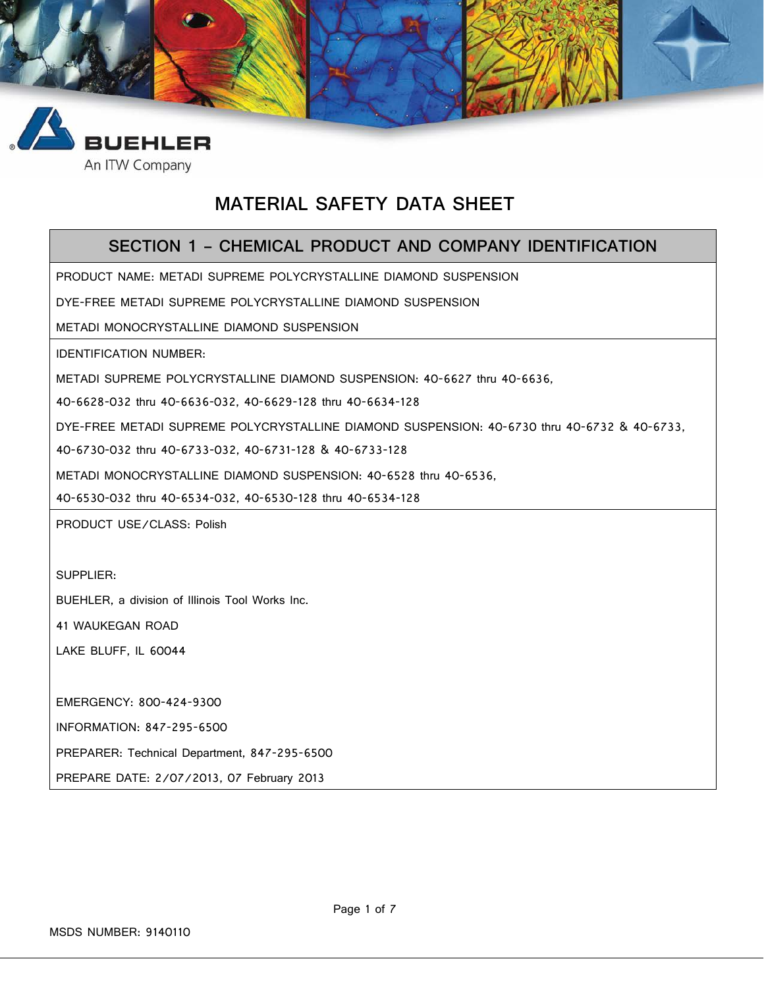



# **MATERIAL SAFETY DATA SHEET**

### **SECTION 1 – CHEMICAL PRODUCT AND COMPANY IDENTIFICATION**

PRODUCT NAME: METADI SUPREME POLYCRYSTALLINE DIAMOND SUSPENSION

DYE-FREE METADI SUPREME POLYCRYSTALLINE DIAMOND SUSPENSION

METADI MONOCRYSTALLINE DIAMOND SUSPENSION

IDENTIFICATION NUMBER:

METADI SUPREME POLYCRYSTALLINE DIAMOND SUSPENSION: 40-6627 thru 40-6636,

40-6628-032 thru 40-6636-032, 40-6629-128 thru 40-6634-128

DYE-FREE METADI SUPREME POLYCRYSTALLINE DIAMOND SUSPENSION: 40-6730 thru 40-6732 & 40-6733,

40-6730-032 thru 40-6733-032, 40-6731-128 & 40-6733-128

METADI MONOCRYSTALLINE DIAMOND SUSPENSION: 40-6528 thru 40-6536,

40-6530-032 thru 40-6534-032, 40-6530-128 thru 40-6534-128

PRODUCT USE/CLASS: Polish

SUPPLIER:

BUEHLER, a division of Illinois Tool Works Inc.

41 WAUKEGAN ROAD

LAKE BLUFF, IL 60044

EMERGENCY: 800-424-9300

INFORMATION: 847-295-6500

PREPARER: Technical Department, 847-295-6500

PREPARE DATE: 2/07/2013, 07 February 2013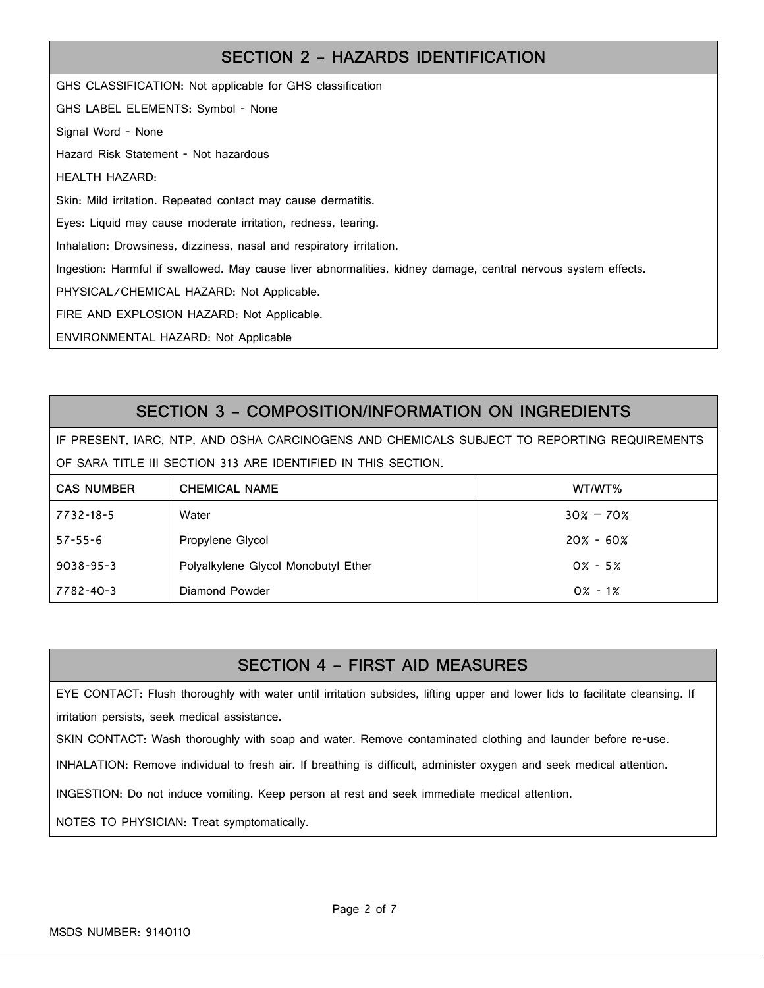## **SECTION 2 – HAZARDS IDENTIFICATION**

GHS CLASSIFICATION: Not applicable for GHS classification GHS LABEL ELEMENTS: Symbol - None Signal Word - None Hazard Risk Statement - Not hazardous HEALTH HAZARD: Skin: Mild irritation. Repeated contact may cause dermatitis. Eyes: Liquid may cause moderate irritation, redness, tearing. Inhalation: Drowsiness, dizziness, nasal and respiratory irritation. Ingestion: Harmful if swallowed. May cause liver abnormalities, kidney damage, central nervous system effects. PHYSICAL/CHEMICAL HAZARD: Not Applicable. FIRE AND EXPLOSION HAZARD: Not Applicable. ENVIRONMENTAL HAZARD: Not Applicable

## **SECTION 3 – COMPOSITION/INFORMATION ON INGREDIENTS**

IF PRESENT, IARC, NTP, AND OSHA CARCINOGENS AND CHEMICALS SUBJECT TO REPORTING REQUIREMENTS OF SARA TITLE III SECTION 313 ARE IDENTIFIED IN THIS SECTION.

| <b>CAS NUMBER</b> | <b>CHEMICAL NAME</b>                | WT/WT%        |
|-------------------|-------------------------------------|---------------|
| 7732-18-5         | Water                               | $30\% - 70\%$ |
| $57 - 55 - 6$     | Propylene Glycol                    | $20\% - 60\%$ |
| $9038 - 95 - 3$   | Polyalkylene Glycol Monobutyl Ether | $0\% - 5\%$   |
| 7782-40-3         | Diamond Powder                      | $0\% - 1\%$   |

## **SECTION 4 – FIRST AID MEASURES**

EYE CONTACT: Flush thoroughly with water until irritation subsides, lifting upper and lower lids to facilitate cleansing. If irritation persists, seek medical assistance.

SKIN CONTACT: Wash thoroughly with soap and water. Remove contaminated clothing and launder before re-use.

INHALATION: Remove individual to fresh air. If breathing is difficult, administer oxygen and seek medical attention.

INGESTION: Do not induce vomiting. Keep person at rest and seek immediate medical attention.

NOTES TO PHYSICIAN: Treat symptomatically.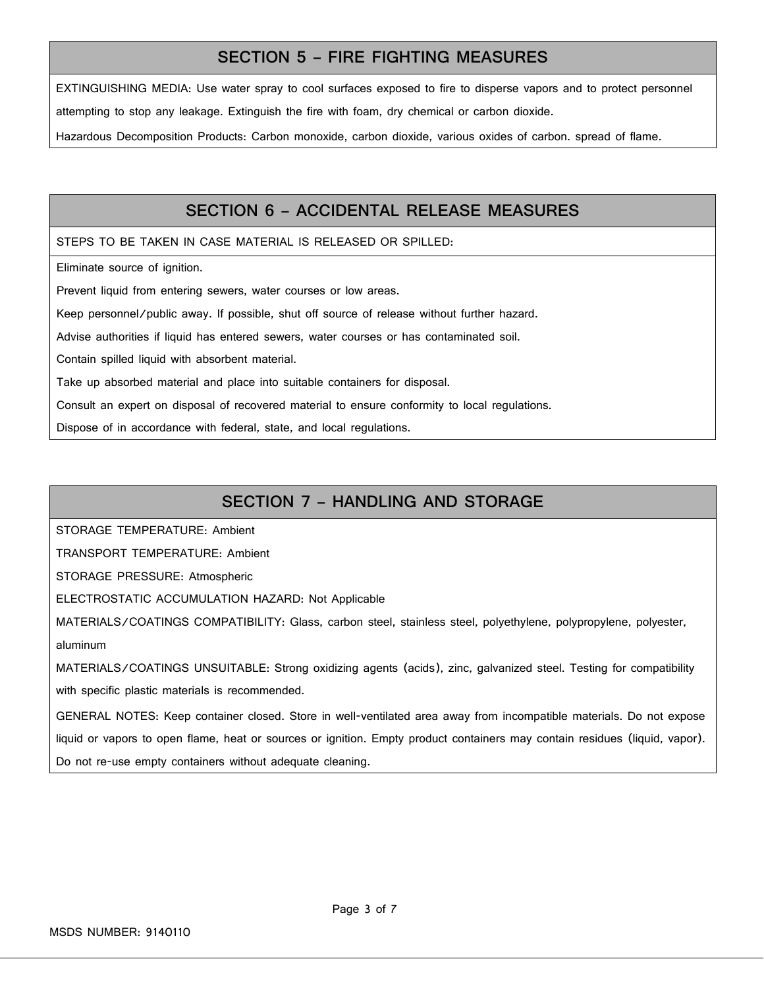#### **SECTION 5 – FIRE FIGHTING MEASURES**

EXTINGUISHING MEDIA: Use water spray to cool surfaces exposed to fire to disperse vapors and to protect personnel attempting to stop any leakage. Extinguish the fire with foam, dry chemical or carbon dioxide.

Hazardous Decomposition Products: Carbon monoxide, carbon dioxide, various oxides of carbon. spread of flame.

#### **SECTION 6 – ACCIDENTAL RELEASE MEASURES**

STEPS TO BE TAKEN IN CASE MATERIAL IS RELEASED OR SPILLED:

Eliminate source of ignition.

Prevent liquid from entering sewers, water courses or low areas.

Keep personnel/public away. If possible, shut off source of release without further hazard.

Advise authorities if liquid has entered sewers, water courses or has contaminated soil.

Contain spilled liquid with absorbent material.

Take up absorbed material and place into suitable containers for disposal.

Consult an expert on disposal of recovered material to ensure conformity to local regulations.

Dispose of in accordance with federal, state, and local regulations.

#### **SECTION 7 – HANDLING AND STORAGE**

STORAGE TEMPERATURE: Ambient

TRANSPORT TEMPERATURE: Ambient

STORAGE PRESSURE: Atmospheric

ELECTROSTATIC ACCUMULATION HAZARD: Not Applicable

MATERIALS/COATINGS COMPATIBILITY: Glass, carbon steel, stainless steel, polyethylene, polypropylene, polyester, aluminum

MATERIALS/COATINGS UNSUITABLE: Strong oxidizing agents (acids), zinc, galvanized steel. Testing for compatibility

with specific plastic materials is recommended.

GENERAL NOTES: Keep container closed. Store in well-ventilated area away from incompatible materials. Do not expose liquid or vapors to open flame, heat or sources or ignition. Empty product containers may contain residues (liquid, vapor). Do not re-use empty containers without adequate cleaning.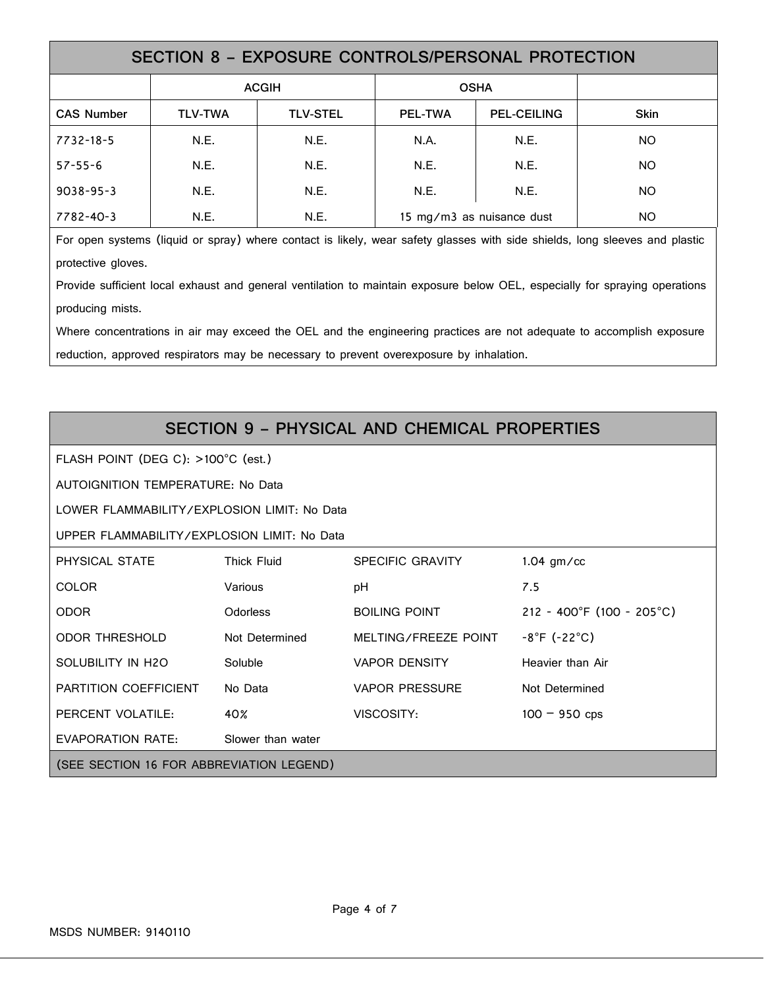| SECTION 8 - EXPOSURE CONTROLS/PERSONAL PROTECTION |                |                 |                           |                    |             |  |
|---------------------------------------------------|----------------|-----------------|---------------------------|--------------------|-------------|--|
|                                                   | <b>ACGIH</b>   |                 | <b>OSHA</b>               |                    |             |  |
| <b>CAS Number</b>                                 | <b>TLV-TWA</b> | <b>TLV-STEL</b> | <b>PEL-TWA</b>            | <b>PEL-CEILING</b> | <b>Skin</b> |  |
| 7732-18-5                                         | N.E.           | N.E.            | N.A.                      | N.E.               | <b>NO</b>   |  |
| $57 - 55 - 6$                                     | N.E.           | N.E.            | N.E.                      | N.E.               | <b>NO</b>   |  |
| $9038 - 95 - 3$                                   | N.E.           | N.E.            | N.E.                      | N.E.               | <b>NO</b>   |  |
| 7782-40-3                                         | N.E.           | N.E.            | 15 mg/m3 as nuisance dust |                    | ΝO          |  |

For open systems (liquid or spray) where contact is likely, wear safety glasses with side shields, long sleeves and plastic protective gloves.

Provide sufficient local exhaust and general ventilation to maintain exposure below OEL, especially for spraying operations producing mists.

Where concentrations in air may exceed the OEL and the engineering practices are not adequate to accomplish exposure reduction, approved respirators may be necessary to prevent overexposure by inhalation.

# **SECTION 9 – PHYSICAL AND CHEMICAL PROPERTIES**

FLASH POINT (DEG C): >100°C (est.)

AUTOIGNITION TEMPERATURE: No Data

LOWER FLAMMABILITY/EXPLOSION LIMIT: No Data

UPPER FLAMMABILITY/EXPLOSION LIMIT: No Data

| PHYSICAL STATE                           | <b>Thick Fluid</b> | <b>SPECIFIC GRAVITY</b> | $1.04$ gm/cc                      |  |
|------------------------------------------|--------------------|-------------------------|-----------------------------------|--|
| <b>COLOR</b>                             | Various            | pH                      | 7.5                               |  |
| <b>ODOR</b>                              | <b>Odorless</b>    | <b>BOILING POINT</b>    | 212 - 400°F (100 - 205°C)         |  |
| <b>ODOR THRESHOLD</b>                    | Not Determined     | MELTING/FREEZE POINT    | $-8^{\circ}$ F (-22 $^{\circ}$ C) |  |
| SOLUBILITY IN H2O                        | Soluble            | <b>VAPOR DENSITY</b>    | Heavier than Air                  |  |
| <b>PARTITION COEFFICIENT</b>             | No Data            | <b>VAPOR PRESSURE</b>   | Not Determined                    |  |
| PERCENT VOLATILE:                        | 40%                | VISCOSITY:              | $100 - 950$ cps                   |  |
| EVAPORATION RATE:                        | Slower than water  |                         |                                   |  |
| (SEE SECTION 16 FOR ABBREVIATION LEGEND) |                    |                         |                                   |  |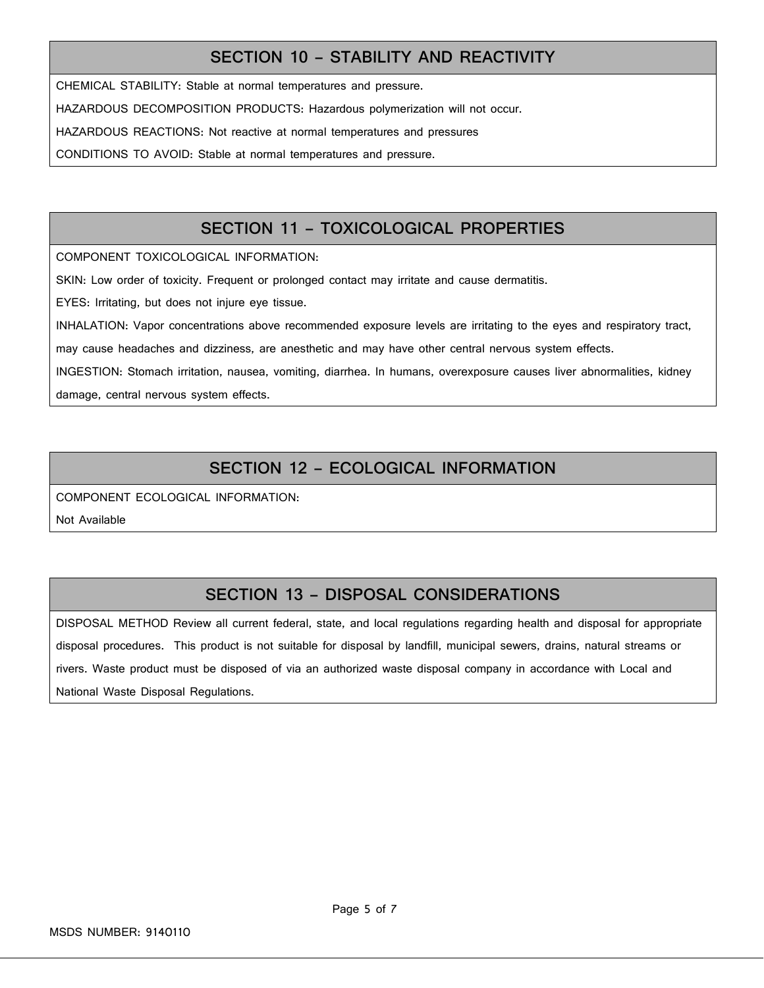## **SECTION 10 – STABILITY AND REACTIVITY**

CHEMICAL STABILITY: Stable at normal temperatures and pressure.

HAZARDOUS DECOMPOSITION PRODUCTS: Hazardous polymerization will not occur.

HAZARDOUS REACTIONS: Not reactive at normal temperatures and pressures

CONDITIONS TO AVOID: Stable at normal temperatures and pressure.

## **SECTION 11 – TOXICOLOGICAL PROPERTIES**

COMPONENT TOXICOLOGICAL INFORMATION:

SKIN: Low order of toxicity. Frequent or prolonged contact may irritate and cause dermatitis.

EYES: Irritating, but does not injure eye tissue.

INHALATION: Vapor concentrations above recommended exposure levels are irritating to the eyes and respiratory tract,

may cause headaches and dizziness, are anesthetic and may have other central nervous system effects.

INGESTION: Stomach irritation, nausea, vomiting, diarrhea. In humans, overexposure causes liver abnormalities, kidney

damage, central nervous system effects.

## **SECTION 12 – ECOLOGICAL INFORMATION**

COMPONENT ECOLOGICAL INFORMATION:

Not Available

## **SECTION 13 – DISPOSAL CONSIDERATIONS**

DISPOSAL METHOD Review all current federal, state, and local regulations regarding health and disposal for appropriate disposal procedures. This product is not suitable for disposal by landfill, municipal sewers, drains, natural streams or rivers. Waste product must be disposed of via an authorized waste disposal company in accordance with Local and National Waste Disposal Regulations.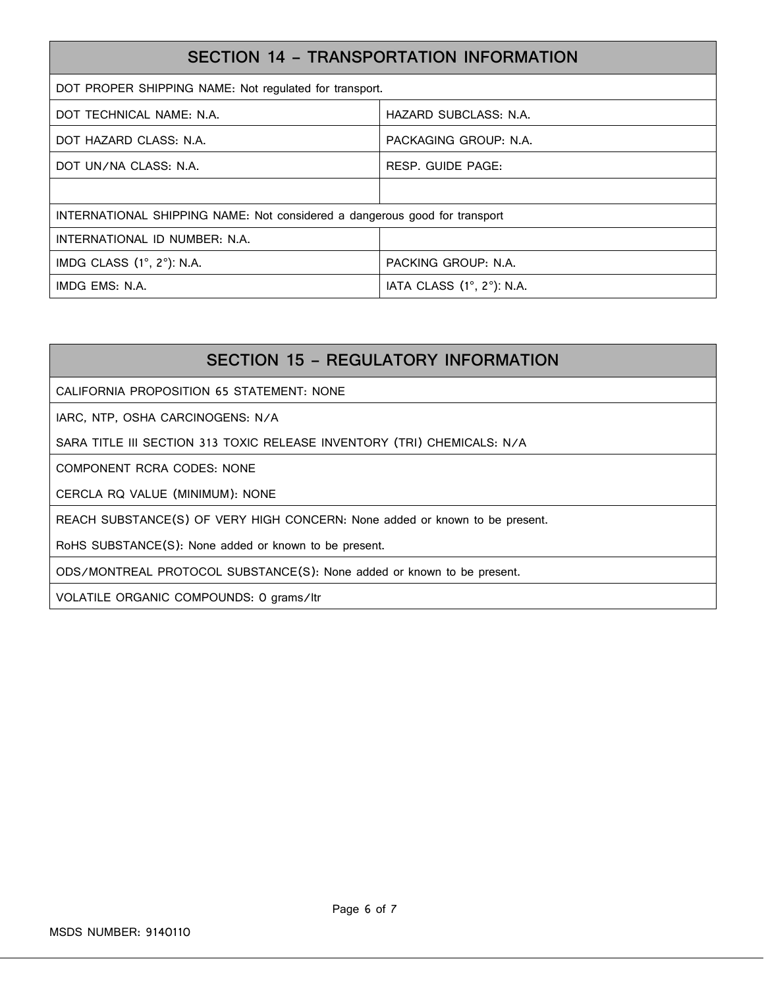| SECTION 14 - TRANSPORTATION INFORMATION                                    |                           |  |  |
|----------------------------------------------------------------------------|---------------------------|--|--|
| DOT PROPER SHIPPING NAME: Not regulated for transport.                     |                           |  |  |
| DOT TECHNICAL NAME: N.A.                                                   | HAZARD SUBCLASS: N.A.     |  |  |
| DOT HAZARD CLASS: N.A.                                                     | PACKAGING GROUP: N.A.     |  |  |
| DOT UN/NA CLASS: N.A.                                                      | RESP. GUIDE PAGE:         |  |  |
|                                                                            |                           |  |  |
| INTERNATIONAL SHIPPING NAME: Not considered a dangerous good for transport |                           |  |  |
| INTERNATIONAL ID NUMBER: N.A.                                              |                           |  |  |
| IMDG CLASS (1°, 2°): N.A.                                                  | PACKING GROUP: N.A.       |  |  |
| IMDG EMS: N.A.                                                             | IATA CLASS (1°, 2°): N.A. |  |  |

# **SECTION 15 – REGULATORY INFORMATION**

CALIFORNIA PROPOSITION 65 STATEMENT: NONE

IARC, NTP, OSHA CARCINOGENS: N/A

SARA TITLE III SECTION 313 TOXIC RELEASE INVENTORY (TRI) CHEMICALS: N/A

COMPONENT RCRA CODES: NONE

CERCLA RQ VALUE (MINIMUM): NONE

REACH SUBSTANCE(S) OF VERY HIGH CONCERN: None added or known to be present.

RoHS SUBSTANCE(S): None added or known to be present.

ODS/MONTREAL PROTOCOL SUBSTANCE(S): None added or known to be present.

VOLATILE ORGANIC COMPOUNDS: 0 grams/ltr